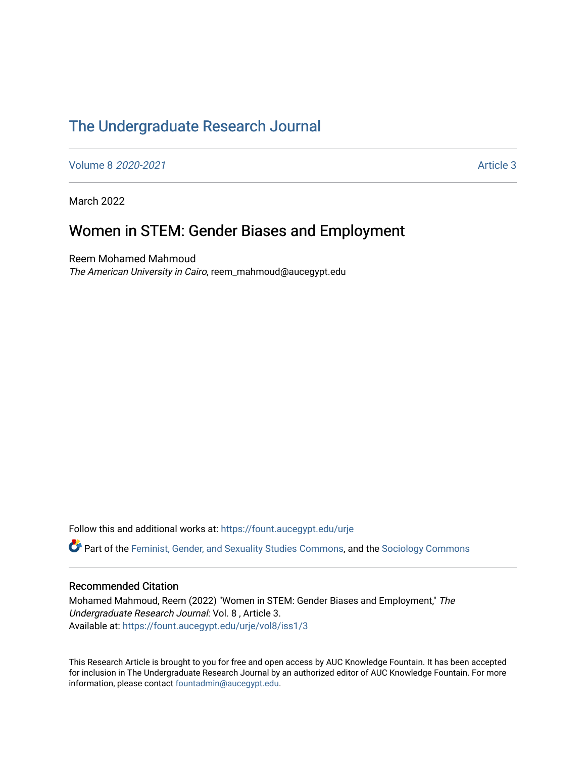# [The Undergraduate Research Journal](https://fount.aucegypt.edu/urje)

[Volume 8](https://fount.aucegypt.edu/urje/vol8) 2020-2021 **Article 3** 2020-2021

March 2022

# Women in STEM: Gender Biases and Employment

Reem Mohamed Mahmoud The American University in Cairo, reem\_mahmoud@aucegypt.edu

Follow this and additional works at: [https://fount.aucegypt.edu/urje](https://fount.aucegypt.edu/urje?utm_source=fount.aucegypt.edu%2Furje%2Fvol8%2Fiss1%2F3&utm_medium=PDF&utm_campaign=PDFCoverPages) 

Part of the [Feminist, Gender, and Sexuality Studies Commons](http://network.bepress.com/hgg/discipline/559?utm_source=fount.aucegypt.edu%2Furje%2Fvol8%2Fiss1%2F3&utm_medium=PDF&utm_campaign=PDFCoverPages), and the [Sociology Commons](http://network.bepress.com/hgg/discipline/416?utm_source=fount.aucegypt.edu%2Furje%2Fvol8%2Fiss1%2F3&utm_medium=PDF&utm_campaign=PDFCoverPages)

#### Recommended Citation

Mohamed Mahmoud, Reem (2022) "Women in STEM: Gender Biases and Employment," The Undergraduate Research Journal: Vol. 8 , Article 3. Available at: [https://fount.aucegypt.edu/urje/vol8/iss1/3](https://fount.aucegypt.edu/urje/vol8/iss1/3?utm_source=fount.aucegypt.edu%2Furje%2Fvol8%2Fiss1%2F3&utm_medium=PDF&utm_campaign=PDFCoverPages) 

This Research Article is brought to you for free and open access by AUC Knowledge Fountain. It has been accepted for inclusion in The Undergraduate Research Journal by an authorized editor of AUC Knowledge Fountain. For more information, please contact [fountadmin@aucegypt.edu.](mailto:fountadmin@aucegypt.edu)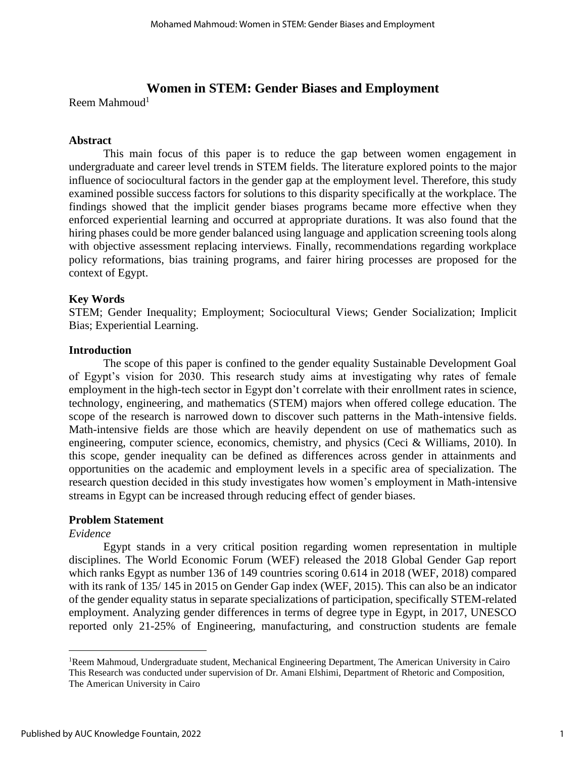## **Women in STEM: Gender Biases and Employment**

Reem Mahmoud<sup>1</sup>

## **Abstract**

This main focus of this paper is to reduce the gap between women engagement in undergraduate and career level trends in STEM fields. The literature explored points to the major influence of sociocultural factors in the gender gap at the employment level. Therefore, this study examined possible success factors for solutions to this disparity specifically at the workplace. The findings showed that the implicit gender biases programs became more effective when they enforced experiential learning and occurred at appropriate durations. It was also found that the hiring phases could be more gender balanced using language and application screening tools along with objective assessment replacing interviews. Finally, recommendations regarding workplace policy reformations, bias training programs, and fairer hiring processes are proposed for the context of Egypt.

## **Key Words**

STEM; Gender Inequality; Employment; Sociocultural Views; Gender Socialization; Implicit Bias; Experiential Learning.

#### **Introduction**

The scope of this paper is confined to the gender equality Sustainable Development Goal of Egypt's vision for 2030. This research study aims at investigating why rates of female employment in the high-tech sector in Egypt don't correlate with their enrollment rates in science, technology, engineering, and mathematics (STEM) majors when offered college education. The scope of the research is narrowed down to discover such patterns in the Math-intensive fields. Math-intensive fields are those which are heavily dependent on use of mathematics such as engineering, computer science, economics, chemistry, and physics (Ceci & Williams, 2010). In this scope, gender inequality can be defined as differences across gender in attainments and opportunities on the academic and employment levels in a specific area of specialization. The research question decided in this study investigates how women's employment in Math-intensive streams in Egypt can be increased through reducing effect of gender biases.

#### **Problem Statement**

#### *Evidence*

Egypt stands in a very critical position regarding women representation in multiple disciplines. The World Economic Forum (WEF) released the 2018 Global Gender Gap report which ranks Egypt as number 136 of 149 countries scoring 0.614 in 2018 (WEF, 2018) compared with its rank of 135/ 145 in 2015 on Gender Gap index (WEF, 2015). This can also be an indicator of the gender equality status in separate specializations of participation, specifically STEM-related employment. Analyzing gender differences in terms of degree type in Egypt, in 2017, UNESCO reported only 21-25% of Engineering, manufacturing, and construction students are female

<sup>1</sup>Reem Mahmoud, Undergraduate student, Mechanical Engineering Department, The American University in Cairo This Research was conducted under supervision of Dr. Amani Elshimi, Department of Rhetoric and Composition, The American University in Cairo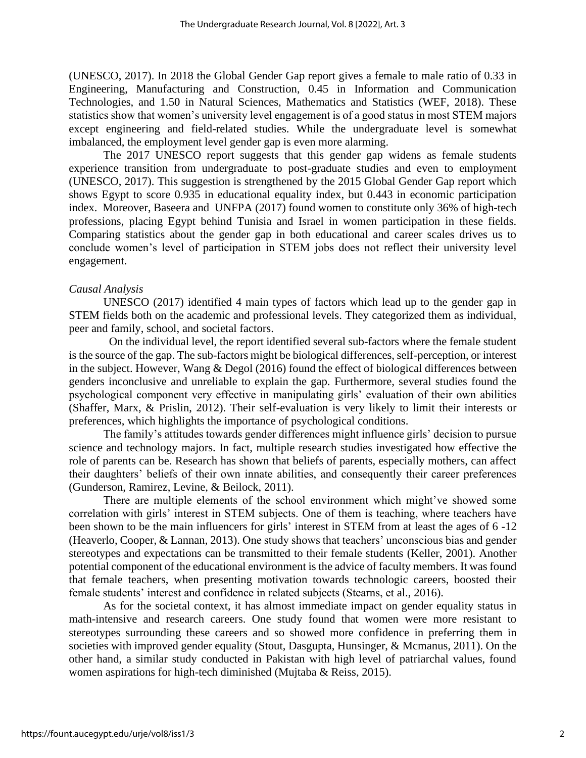(UNESCO, 2017). In 2018 the Global Gender Gap report gives a female to male ratio of 0.33 in Engineering, Manufacturing and Construction, 0.45 in Information and Communication Technologies, and 1.50 in Natural Sciences, Mathematics and Statistics (WEF, 2018). These statistics show that women's university level engagement is of a good status in most STEM majors except engineering and field-related studies. While the undergraduate level is somewhat imbalanced, the employment level gender gap is even more alarming.

The 2017 UNESCO report suggests that this gender gap widens as female students experience transition from undergraduate to post-graduate studies and even to employment (UNESCO, 2017). This suggestion is strengthened by the 2015 Global Gender Gap report which shows Egypt to score 0.935 in educational equality index, but 0.443 in economic participation index. Moreover, Baseera and UNFPA (2017) found women to constitute only 36% of high-tech professions, placing Egypt behind Tunisia and Israel in women participation in these fields. Comparing statistics about the gender gap in both educational and career scales drives us to conclude women's level of participation in STEM jobs does not reflect their university level engagement.

#### *Causal Analysis*

UNESCO (2017) identified 4 main types of factors which lead up to the gender gap in STEM fields both on the academic and professional levels. They categorized them as individual, peer and family, school, and societal factors.

 On the individual level, the report identified several sub-factors where the female student is the source of the gap. The sub-factors might be biological differences, self-perception, or interest in the subject. However, Wang & Degol (2016) found the effect of biological differences between genders inconclusive and unreliable to explain the gap. Furthermore, several studies found the psychological component very effective in manipulating girls' evaluation of their own abilities (Shaffer, Marx, & Prislin, 2012). Their self-evaluation is very likely to limit their interests or preferences, which highlights the importance of psychological conditions.

The family's attitudes towards gender differences might influence girls' decision to pursue science and technology majors. In fact, multiple research studies investigated how effective the role of parents can be. Research has shown that beliefs of parents, especially mothers, can affect their daughters' beliefs of their own innate abilities, and consequently their career preferences (Gunderson, Ramirez, Levine, & Beilock, 2011).

There are multiple elements of the school environment which might've showed some correlation with girls' interest in STEM subjects. One of them is teaching, where teachers have been shown to be the main influencers for girls' interest in STEM from at least the ages of 6 -12 (Heaverlo, Cooper, & Lannan, 2013). One study shows that teachers' unconscious bias and gender stereotypes and expectations can be transmitted to their female students (Keller, 2001). Another potential component of the educational environment is the advice of faculty members. It was found that female teachers, when presenting motivation towards technologic careers, boosted their female students' interest and confidence in related subjects (Stearns, et al., 2016).

As for the societal context, it has almost immediate impact on gender equality status in math-intensive and research careers. One study found that women were more resistant to stereotypes surrounding these careers and so showed more confidence in preferring them in societies with improved gender equality (Stout, Dasgupta, Hunsinger, & Mcmanus, 2011). On the other hand, a similar study conducted in Pakistan with high level of patriarchal values, found women aspirations for high-tech diminished (Mujtaba & Reiss, 2015).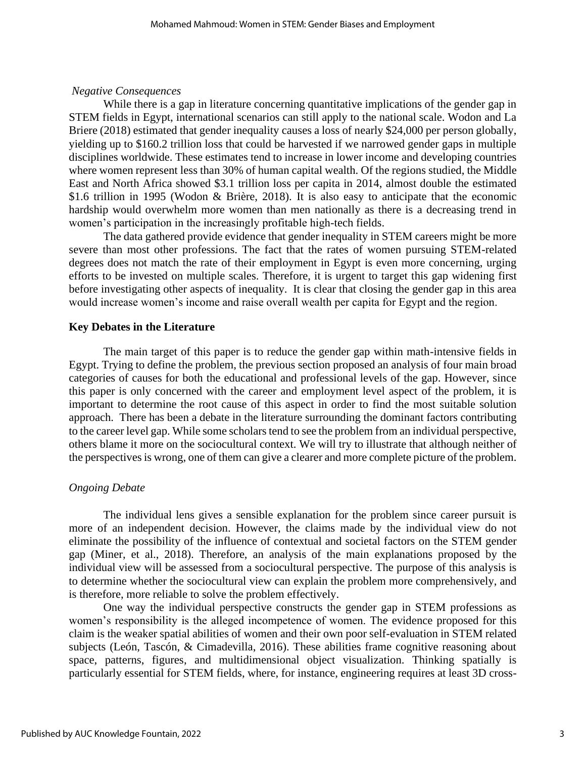#### *Negative Consequences*

While there is a gap in literature concerning quantitative implications of the gender gap in STEM fields in Egypt, international scenarios can still apply to the national scale. Wodon and La Briere (2018) estimated that gender inequality causes a loss of nearly \$24,000 per person globally, yielding up to \$160.2 trillion loss that could be harvested if we narrowed gender gaps in multiple disciplines worldwide. These estimates tend to increase in lower income and developing countries where women represent less than 30% of human capital wealth. Of the regions studied, the Middle East and North Africa showed \$3.1 trillion loss per capita in 2014, almost double the estimated \$1.6 trillion in 1995 (Wodon & Brière, 2018). It is also easy to anticipate that the economic hardship would overwhelm more women than men nationally as there is a decreasing trend in women's participation in the increasingly profitable high-tech fields.

The data gathered provide evidence that gender inequality in STEM careers might be more severe than most other professions. The fact that the rates of women pursuing STEM-related degrees does not match the rate of their employment in Egypt is even more concerning, urging efforts to be invested on multiple scales. Therefore, it is urgent to target this gap widening first before investigating other aspects of inequality. It is clear that closing the gender gap in this area would increase women's income and raise overall wealth per capita for Egypt and the region.

#### **Key Debates in the Literature**

The main target of this paper is to reduce the gender gap within math-intensive fields in Egypt. Trying to define the problem, the previous section proposed an analysis of four main broad categories of causes for both the educational and professional levels of the gap. However, since this paper is only concerned with the career and employment level aspect of the problem, it is important to determine the root cause of this aspect in order to find the most suitable solution approach. There has been a debate in the literature surrounding the dominant factors contributing to the career level gap. While some scholars tend to see the problem from an individual perspective, others blame it more on the sociocultural context. We will try to illustrate that although neither of the perspectives is wrong, one of them can give a clearer and more complete picture of the problem.

#### *Ongoing Debate*

The individual lens gives a sensible explanation for the problem since career pursuit is more of an independent decision. However, the claims made by the individual view do not eliminate the possibility of the influence of contextual and societal factors on the STEM gender gap (Miner, et al., 2018). Therefore, an analysis of the main explanations proposed by the individual view will be assessed from a sociocultural perspective. The purpose of this analysis is to determine whether the sociocultural view can explain the problem more comprehensively, and is therefore, more reliable to solve the problem effectively.

One way the individual perspective constructs the gender gap in STEM professions as women's responsibility is the alleged incompetence of women. The evidence proposed for this claim is the weaker spatial abilities of women and their own poor self-evaluation in STEM related subjects (León, Tascón, & Cimadevilla, 2016). These abilities frame cognitive reasoning about space, patterns, figures, and multidimensional object visualization. Thinking spatially is particularly essential for STEM fields, where, for instance, engineering requires at least 3D cross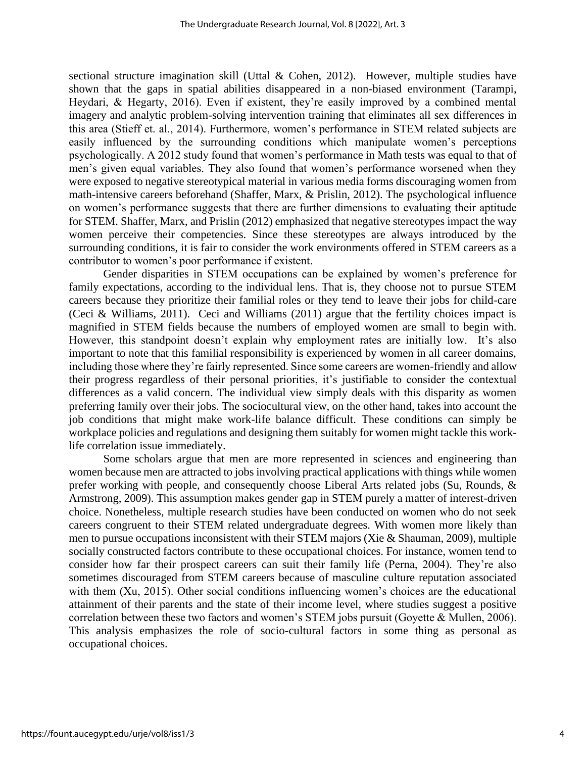sectional structure imagination skill (Uttal & Cohen, 2012). However, multiple studies have shown that the gaps in spatial abilities disappeared in a non-biased environment (Tarampi, Heydari, & Hegarty, 2016). Even if existent, they're easily improved by a combined mental imagery and analytic problem-solving intervention training that eliminates all sex differences in this area (Stieff et. al., 2014). Furthermore, women's performance in STEM related subjects are easily influenced by the surrounding conditions which manipulate women's perceptions psychologically. A 2012 study found that women's performance in Math tests was equal to that of men's given equal variables. They also found that women's performance worsened when they were exposed to negative stereotypical material in various media forms discouraging women from math-intensive careers beforehand (Shaffer, Marx, & Prislin, 2012). The psychological influence on women's performance suggests that there are further dimensions to evaluating their aptitude for STEM. Shaffer, Marx, and Prislin (2012) emphasized that negative stereotypes impact the way women perceive their competencies. Since these stereotypes are always introduced by the surrounding conditions, it is fair to consider the work environments offered in STEM careers as a contributor to women's poor performance if existent.

Gender disparities in STEM occupations can be explained by women's preference for family expectations, according to the individual lens. That is, they choose not to pursue STEM careers because they prioritize their familial roles or they tend to leave their jobs for child-care (Ceci & Williams, 2011). Ceci and Williams (2011) argue that the fertility choices impact is magnified in STEM fields because the numbers of employed women are small to begin with. However, this standpoint doesn't explain why employment rates are initially low. It's also important to note that this familial responsibility is experienced by women in all career domains, including those where they're fairly represented. Since some careers are women-friendly and allow their progress regardless of their personal priorities, it's justifiable to consider the contextual differences as a valid concern. The individual view simply deals with this disparity as women preferring family over their jobs. The sociocultural view, on the other hand, takes into account the job conditions that might make work-life balance difficult. These conditions can simply be workplace policies and regulations and designing them suitably for women might tackle this worklife correlation issue immediately.

Some scholars argue that men are more represented in sciences and engineering than women because men are attracted to jobs involving practical applications with things while women prefer working with people, and consequently choose Liberal Arts related jobs (Su, Rounds, & Armstrong, 2009). This assumption makes gender gap in STEM purely a matter of interest-driven choice. Nonetheless, multiple research studies have been conducted on women who do not seek careers congruent to their STEM related undergraduate degrees. With women more likely than men to pursue occupations inconsistent with their STEM majors (Xie & Shauman, 2009), multiple socially constructed factors contribute to these occupational choices. For instance, women tend to consider how far their prospect careers can suit their family life (Perna, 2004). They're also sometimes discouraged from STEM careers because of masculine culture reputation associated with them (Xu, 2015). Other social conditions influencing women's choices are the educational attainment of their parents and the state of their income level, where studies suggest a positive correlation between these two factors and women's STEM jobs pursuit (Goyette & Mullen, 2006). This analysis emphasizes the role of socio-cultural factors in some thing as personal as occupational choices.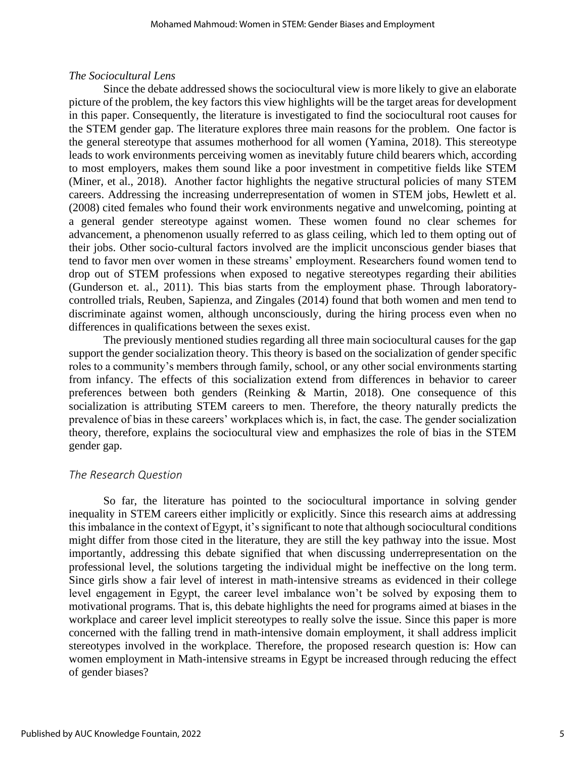## *The Sociocultural Lens*

Since the debate addressed shows the sociocultural view is more likely to give an elaborate picture of the problem, the key factors this view highlights will be the target areas for development in this paper. Consequently, the literature is investigated to find the sociocultural root causes for the STEM gender gap. The literature explores three main reasons for the problem. One factor is the general stereotype that assumes motherhood for all women (Yamina, 2018). This stereotype leads to work environments perceiving women as inevitably future child bearers which, according to most employers, makes them sound like a poor investment in competitive fields like STEM (Miner, et al., 2018). Another factor highlights the negative structural policies of many STEM careers. Addressing the increasing underrepresentation of women in STEM jobs, Hewlett et al. (2008) cited females who found their work environments negative and unwelcoming, pointing at a general gender stereotype against women. These women found no clear schemes for advancement, a phenomenon usually referred to as glass ceiling, which led to them opting out of their jobs. Other socio-cultural factors involved are the implicit unconscious gender biases that tend to favor men over women in these streams' employment. Researchers found women tend to drop out of STEM professions when exposed to negative stereotypes regarding their abilities (Gunderson et. al., 2011). This bias starts from the employment phase. Through laboratorycontrolled trials, Reuben, Sapienza, and Zingales (2014) found that both women and men tend to discriminate against women, although unconsciously, during the hiring process even when no differences in qualifications between the sexes exist.

The previously mentioned studies regarding all three main sociocultural causes for the gap support the gender socialization theory. This theory is based on the socialization of gender specific roles to a community's members through family, school, or any other social environments starting from infancy. The effects of this socialization extend from differences in behavior to career preferences between both genders (Reinking & Martin, 2018). One consequence of this socialization is attributing STEM careers to men. Therefore, the theory naturally predicts the prevalence of bias in these careers' workplaces which is, in fact, the case. The gender socialization theory, therefore, explains the sociocultural view and emphasizes the role of bias in the STEM gender gap.

## *The Research Question*

So far, the literature has pointed to the sociocultural importance in solving gender inequality in STEM careers either implicitly or explicitly. Since this research aims at addressing this imbalance in the context of Egypt, it's significant to note that although sociocultural conditions might differ from those cited in the literature, they are still the key pathway into the issue. Most importantly, addressing this debate signified that when discussing underrepresentation on the professional level, the solutions targeting the individual might be ineffective on the long term. Since girls show a fair level of interest in math-intensive streams as evidenced in their college level engagement in Egypt, the career level imbalance won't be solved by exposing them to motivational programs. That is, this debate highlights the need for programs aimed at biases in the workplace and career level implicit stereotypes to really solve the issue. Since this paper is more concerned with the falling trend in math-intensive domain employment, it shall address implicit stereotypes involved in the workplace. Therefore, the proposed research question is: How can women employment in Math-intensive streams in Egypt be increased through reducing the effect of gender biases?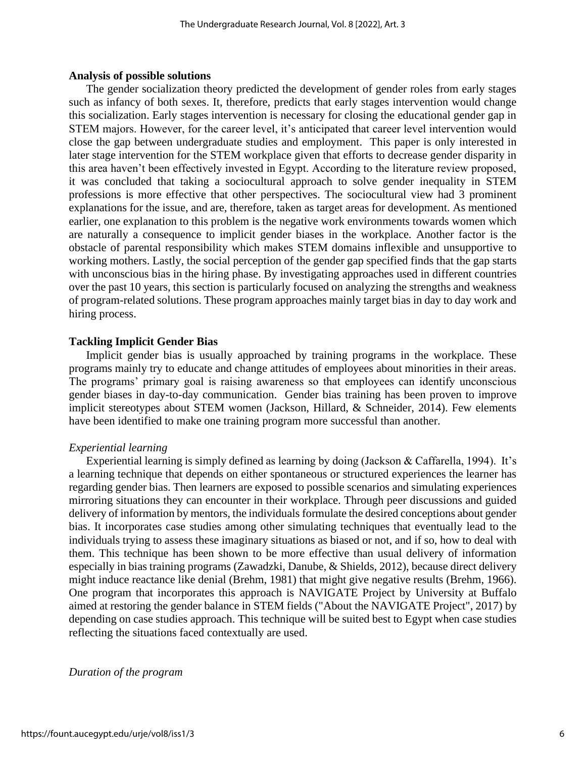#### **Analysis of possible solutions**

The gender socialization theory predicted the development of gender roles from early stages such as infancy of both sexes. It, therefore, predicts that early stages intervention would change this socialization. Early stages intervention is necessary for closing the educational gender gap in STEM majors. However, for the career level, it's anticipated that career level intervention would close the gap between undergraduate studies and employment. This paper is only interested in later stage intervention for the STEM workplace given that efforts to decrease gender disparity in this area haven't been effectively invested in Egypt. According to the literature review proposed, it was concluded that taking a sociocultural approach to solve gender inequality in STEM professions is more effective that other perspectives. The sociocultural view had 3 prominent explanations for the issue, and are, therefore, taken as target areas for development. As mentioned earlier, one explanation to this problem is the negative work environments towards women which are naturally a consequence to implicit gender biases in the workplace. Another factor is the obstacle of parental responsibility which makes STEM domains inflexible and unsupportive to working mothers. Lastly, the social perception of the gender gap specified finds that the gap starts with unconscious bias in the hiring phase. By investigating approaches used in different countries over the past 10 years, this section is particularly focused on analyzing the strengths and weakness of program-related solutions. These program approaches mainly target bias in day to day work and hiring process.

#### **Tackling Implicit Gender Bias**

Implicit gender bias is usually approached by training programs in the workplace. These programs mainly try to educate and change attitudes of employees about minorities in their areas. The programs' primary goal is raising awareness so that employees can identify unconscious gender biases in day-to-day communication. Gender bias training has been proven to improve implicit stereotypes about STEM women (Jackson, Hillard, & Schneider, 2014). Few elements have been identified to make one training program more successful than another.

#### *Experiential learning*

Experiential learning is simply defined as learning by doing (Jackson & Caffarella, 1994). It's a learning technique that depends on either spontaneous or structured experiences the learner has regarding gender bias. Then learners are exposed to possible scenarios and simulating experiences mirroring situations they can encounter in their workplace. Through peer discussions and guided delivery of information by mentors, the individuals formulate the desired conceptions about gender bias. It incorporates case studies among other simulating techniques that eventually lead to the individuals trying to assess these imaginary situations as biased or not, and if so, how to deal with them. This technique has been shown to be more effective than usual delivery of information especially in bias training programs (Zawadzki, Danube, & Shields, 2012), because direct delivery might induce reactance like denial (Brehm, 1981) that might give negative results (Brehm, 1966). One program that incorporates this approach is NAVIGATE Project by University at Buffalo aimed at restoring the gender balance in STEM fields ("About the NAVIGATE Project", 2017) by depending on case studies approach. This technique will be suited best to Egypt when case studies reflecting the situations faced contextually are used.

#### *Duration of the program*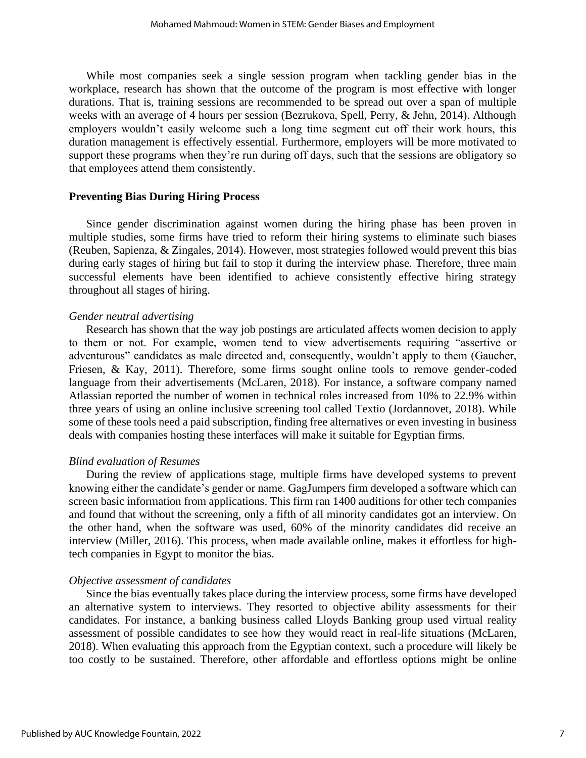While most companies seek a single session program when tackling gender bias in the workplace, research has shown that the outcome of the program is most effective with longer durations. That is, training sessions are recommended to be spread out over a span of multiple weeks with an average of 4 hours per session (Bezrukova, Spell, Perry, & Jehn, 2014). Although employers wouldn't easily welcome such a long time segment cut off their work hours, this duration management is effectively essential. Furthermore, employers will be more motivated to support these programs when they're run during off days, such that the sessions are obligatory so that employees attend them consistently.

#### **Preventing Bias During Hiring Process**

Since gender discrimination against women during the hiring phase has been proven in multiple studies, some firms have tried to reform their hiring systems to eliminate such biases (Reuben, Sapienza, & Zingales, 2014). However, most strategies followed would prevent this bias during early stages of hiring but fail to stop it during the interview phase. Therefore, three main successful elements have been identified to achieve consistently effective hiring strategy throughout all stages of hiring.

#### *Gender neutral advertising*

Research has shown that the way job postings are articulated affects women decision to apply to them or not. For example, women tend to view advertisements requiring "assertive or adventurous" candidates as male directed and, consequently, wouldn't apply to them (Gaucher, Friesen, & Kay, 2011). Therefore, some firms sought online tools to remove gender-coded language from their advertisements (McLaren, 2018). For instance, a software company named Atlassian reported the number of women in technical roles increased from 10% to 22.9% within three years of using an online inclusive screening tool called Textio (Jordannovet, 2018). While some of these tools need a paid subscription, finding free alternatives or even investing in business deals with companies hosting these interfaces will make it suitable for Egyptian firms.

#### *Blind evaluation of Resumes*

During the review of applications stage, multiple firms have developed systems to prevent knowing either the candidate's gender or name. GagJumpers firm developed a software which can screen basic information from applications. This firm ran 1400 auditions for other tech companies and found that without the screening, only a fifth of all minority candidates got an interview. On the other hand, when the software was used, 60% of the minority candidates did receive an interview (Miller, 2016). This process, when made available online, makes it effortless for hightech companies in Egypt to monitor the bias.

#### *Objective assessment of candidates*

Since the bias eventually takes place during the interview process, some firms have developed an alternative system to interviews. They resorted to objective ability assessments for their candidates. For instance, a banking business called Lloyds Banking group used virtual reality assessment of possible candidates to see how they would react in real-life situations (McLaren, 2018). When evaluating this approach from the Egyptian context, such a procedure will likely be too costly to be sustained. Therefore, other affordable and effortless options might be online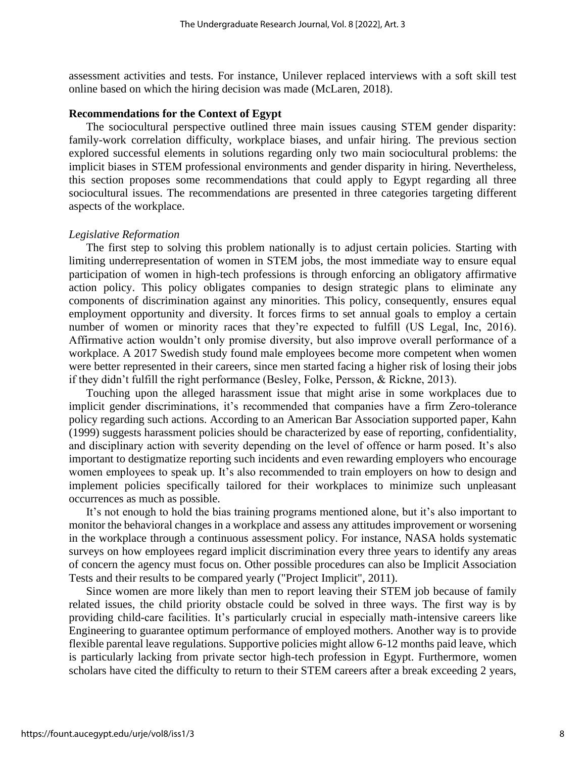assessment activities and tests. For instance, Unilever replaced interviews with a soft skill test online based on which the hiring decision was made (McLaren, 2018).

#### **Recommendations for the Context of Egypt**

The sociocultural perspective outlined three main issues causing STEM gender disparity: family-work correlation difficulty, workplace biases, and unfair hiring. The previous section explored successful elements in solutions regarding only two main sociocultural problems: the implicit biases in STEM professional environments and gender disparity in hiring. Nevertheless, this section proposes some recommendations that could apply to Egypt regarding all three sociocultural issues. The recommendations are presented in three categories targeting different aspects of the workplace.

#### *Legislative Reformation*

The first step to solving this problem nationally is to adjust certain policies*.* Starting with limiting underrepresentation of women in STEM jobs, the most immediate way to ensure equal participation of women in high-tech professions is through enforcing an obligatory affirmative action policy. This policy obligates companies to design strategic plans to eliminate any components of discrimination against any minorities. This policy, consequently, ensures equal employment opportunity and diversity. It forces firms to set annual goals to employ a certain number of women or minority races that they're expected to fulfill (US Legal, Inc, 2016). Affirmative action wouldn't only promise diversity, but also improve overall performance of a workplace. A 2017 Swedish study found male employees become more competent when women were better represented in their careers, since men started facing a higher risk of losing their jobs if they didn't fulfill the right performance (Besley, Folke, Persson, & Rickne, 2013).

Touching upon the alleged harassment issue that might arise in some workplaces due to implicit gender discriminations, it's recommended that companies have a firm Zero-tolerance policy regarding such actions. According to an American Bar Association supported paper, Kahn (1999) suggests harassment policies should be characterized by ease of reporting, confidentiality, and disciplinary action with severity depending on the level of offence or harm posed. It's also important to destigmatize reporting such incidents and even rewarding employers who encourage women employees to speak up. It's also recommended to train employers on how to design and implement policies specifically tailored for their workplaces to minimize such unpleasant occurrences as much as possible.

It's not enough to hold the bias training programs mentioned alone, but it's also important to monitor the behavioral changes in a workplace and assess any attitudes improvement or worsening in the workplace through a continuous assessment policy. For instance, NASA holds systematic surveys on how employees regard implicit discrimination every three years to identify any areas of concern the agency must focus on. Other possible procedures can also be Implicit Association Tests and their results to be compared yearly ("Project Implicit", 2011).

Since women are more likely than men to report leaving their STEM job because of family related issues, the child priority obstacle could be solved in three ways. The first way is by providing child-care facilities. It's particularly crucial in especially math-intensive careers like Engineering to guarantee optimum performance of employed mothers. Another way is to provide flexible parental leave regulations. Supportive policies might allow 6-12 months paid leave, which is particularly lacking from private sector high-tech profession in Egypt. Furthermore, women scholars have cited the difficulty to return to their STEM careers after a break exceeding 2 years,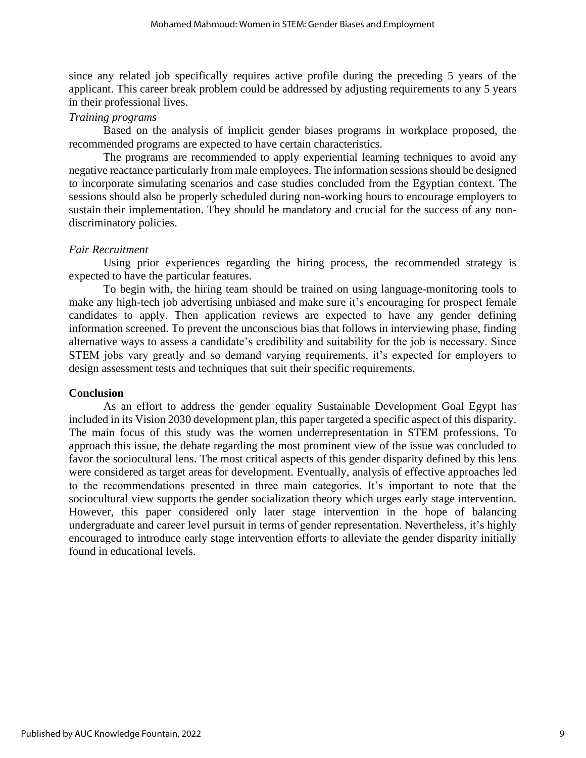since any related job specifically requires active profile during the preceding 5 years of the applicant. This career break problem could be addressed by adjusting requirements to any 5 years in their professional lives.

## *Training programs*

Based on the analysis of implicit gender biases programs in workplace proposed, the recommended programs are expected to have certain characteristics.

The programs are recommended to apply experiential learning techniques to avoid any negative reactance particularly from male employees. The information sessions should be designed to incorporate simulating scenarios and case studies concluded from the Egyptian context. The sessions should also be properly scheduled during non-working hours to encourage employers to sustain their implementation. They should be mandatory and crucial for the success of any nondiscriminatory policies.

## *Fair Recruitment*

Using prior experiences regarding the hiring process, the recommended strategy is expected to have the particular features.

To begin with, the hiring team should be trained on using language-monitoring tools to make any high-tech job advertising unbiased and make sure it's encouraging for prospect female candidates to apply. Then application reviews are expected to have any gender defining information screened. To prevent the unconscious bias that follows in interviewing phase, finding alternative ways to assess a candidate's credibility and suitability for the job is necessary. Since STEM jobs vary greatly and so demand varying requirements, it's expected for employers to design assessment tests and techniques that suit their specific requirements.

## **Conclusion**

As an effort to address the gender equality Sustainable Development Goal Egypt has included in its Vision 2030 development plan, this paper targeted a specific aspect of this disparity. The main focus of this study was the women underrepresentation in STEM professions. To approach this issue, the debate regarding the most prominent view of the issue was concluded to favor the sociocultural lens. The most critical aspects of this gender disparity defined by this lens were considered as target areas for development. Eventually, analysis of effective approaches led to the recommendations presented in three main categories. It's important to note that the sociocultural view supports the gender socialization theory which urges early stage intervention. However, this paper considered only later stage intervention in the hope of balancing undergraduate and career level pursuit in terms of gender representation. Nevertheless, it's highly encouraged to introduce early stage intervention efforts to alleviate the gender disparity initially found in educational levels.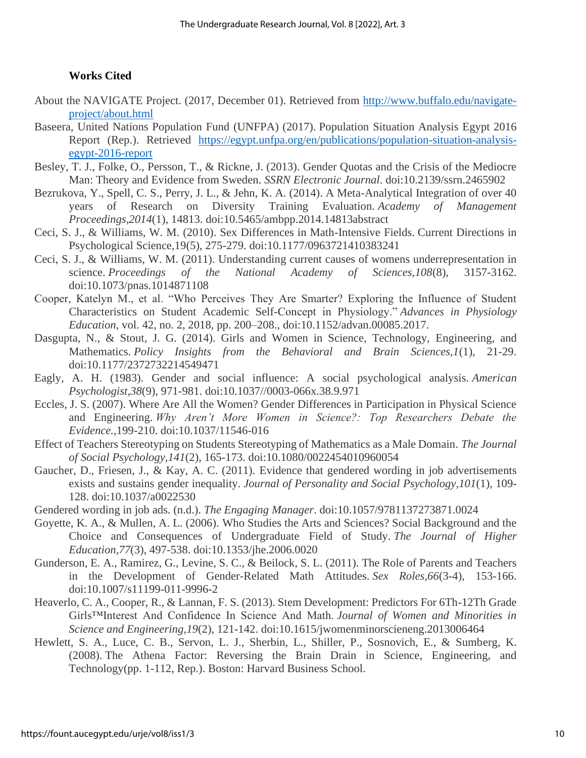## **Works Cited**

- About the NAVIGATE Project. (2017, December 01). Retrieved from [http://www.buffalo.edu/navigate](http://www.buffalo.edu/navigate-project/about.html)[project/about.html](http://www.buffalo.edu/navigate-project/about.html)
- Baseera, United Nations Population Fund (UNFPA) (2017). Population Situation Analysis Egypt 2016 Report (Rep.). Retrieved [https://egypt.unfpa.org/en/publications/population-situation-analysis](https://egypt.unfpa.org/en/publications/population-situation-analysis-egypt-2016-report)[egypt-2016-report](https://egypt.unfpa.org/en/publications/population-situation-analysis-egypt-2016-report)
- Besley, T. J., Folke, O., Persson, T., & Rickne, J. (2013). Gender Quotas and the Crisis of the Mediocre Man: Theory and Evidence from Sweden. *SSRN Electronic Journal*. doi:10.2139/ssrn.2465902
- Bezrukova, Y., Spell, C. S., Perry, J. L., & Jehn, K. A. (2014). A Meta-Analytical Integration of over 40 years of Research on Diversity Training Evaluation. *Academy of Management Proceedings,2014*(1), 14813. doi:10.5465/ambpp.2014.14813abstract
- Ceci, S. J., & Williams, W. M. (2010). Sex Differences in Math-Intensive Fields. Current Directions in Psychological Science,19(5), 275-279. doi:10.1177/0963721410383241
- Ceci, S. J., & Williams, W. M. (2011). Understanding current causes of womens underrepresentation in science. *Proceedings of the National Academy of Sciences,108*(8), 3157-3162. doi:10.1073/pnas.1014871108
- Cooper, Katelyn M., et al. "Who Perceives They Are Smarter? Exploring the Influence of Student Characteristics on Student Academic Self-Concept in Physiology." *Advances in Physiology Education*, vol. 42, no. 2, 2018, pp. 200–208., doi:10.1152/advan.00085.2017.
- Dasgupta, N., & Stout, J. G. (2014). Girls and Women in Science, Technology, Engineering, and Mathematics. *Policy Insights from the Behavioral and Brain Sciences,1*(1), 21-29. doi:10.1177/2372732214549471
- Eagly, A. H. (1983). Gender and social influence: A social psychological analysis. *American Psychologist,38*(9), 971-981. doi:10.1037//0003-066x.38.9.971
- Eccles, J. S. (2007). Where Are All the Women? Gender Differences in Participation in Physical Science and Engineering. *Why Aren't More Women in Science?: Top Researchers Debate the Evidence.,*199-210. doi:10.1037/11546-016
- Effect of Teachers Stereotyping on Students Stereotyping of Mathematics as a Male Domain. *The Journal of Social Psychology,141*(2), 165-173. doi:10.1080/0022454010960054
- Gaucher, D., Friesen, J., & Kay, A. C. (2011). Evidence that gendered wording in job advertisements exists and sustains gender inequality. *Journal of Personality and Social Psychology,101*(1), 109- 128. doi:10.1037/a0022530
- Gendered wording in job ads. (n.d.). *The Engaging Manager*. doi:10.1057/9781137273871.0024
- Goyette, K. A., & Mullen, A. L. (2006). Who Studies the Arts and Sciences? Social Background and the Choice and Consequences of Undergraduate Field of Study. *The Journal of Higher Education,77*(3), 497-538. doi:10.1353/jhe.2006.0020
- Gunderson, E. A., Ramirez, G., Levine, S. C., & Beilock, S. L. (2011). The Role of Parents and Teachers in the Development of Gender-Related Math Attitudes. *Sex Roles,66*(3-4), 153-166. doi:10.1007/s11199-011-9996-2
- Heaverlo, C. A., Cooper, R., & Lannan, F. S. (2013). Stem Development: Predictors For 6Th-12Th Grade Girls™Interest And Confidence In Science And Math. *Journal of Women and Minorities in Science and Engineering,19*(2), 121-142. doi:10.1615/jwomenminorscieneng.2013006464
- Hewlett, S. A., Luce, C. B., Servon, L. J., Sherbin, L., Shiller, P., Sosnovich, E., & Sumberg, K. (2008). The Athena Factor: Reversing the Brain Drain in Science, Engineering, and Technology(pp. 1-112, Rep.). Boston: Harvard Business School.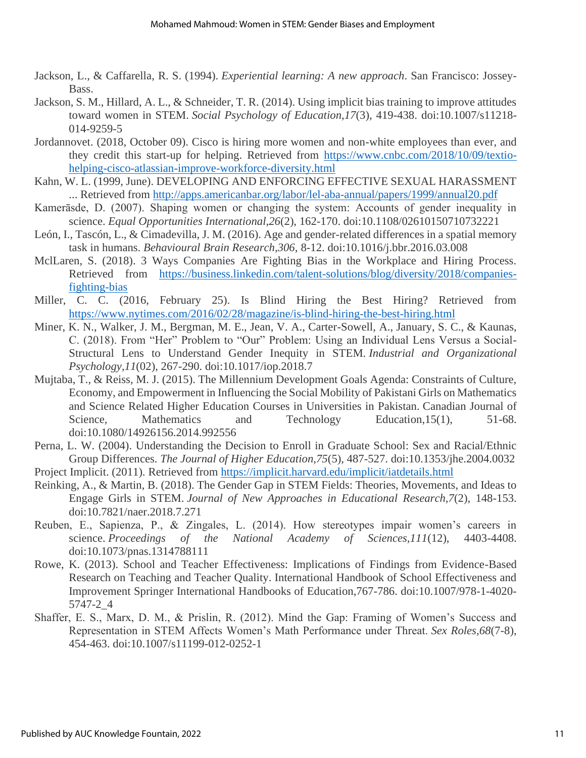- Jackson, L., & Caffarella, R. S. (1994). *Experiential learning: A new approach*. San Francisco: Jossey-Bass.
- Jackson, S. M., Hillard, A. L., & Schneider, T. R. (2014). Using implicit bias training to improve attitudes toward women in STEM. *Social Psychology of Education,17*(3), 419-438. doi:10.1007/s11218- 014-9259-5
- Jordannovet. (2018, October 09). Cisco is hiring more women and non-white employees than ever, and they credit this start-up for helping. Retrieved from [https://www.cnbc.com/2018/10/09/textio](https://www.cnbc.com/2018/10/09/textio-helping-cisco-atlassian-improve-workforce-diversity.html)[helping-cisco-atlassian-improve-workforce-diversity.html](https://www.cnbc.com/2018/10/09/textio-helping-cisco-atlassian-improve-workforce-diversity.html)
- Kahn, W. L. (1999, June). DEVELOPING AND ENFORCING EFFECTIVE SEXUAL HARASSMENT ... Retrieved from<http://apps.americanbar.org/labor/lel-aba-annual/papers/1999/annual20.pdf>
- Kamerāsde, D. (2007). Shaping women or changing the system: Accounts of gender inequality in science. *Equal Opportunities International,26*(2), 162-170. doi:10.1108/02610150710732221
- León, I., Tascón, L., & Cimadevilla, J. M. (2016). Age and gender-related differences in a spatial memory task in humans. *Behavioural Brain Research,306*, 8-12. doi:10.1016/j.bbr.2016.03.008
- MclLaren, S. (2018). 3 Ways Companies Are Fighting Bias in the Workplace and Hiring Process. Retrieved from [https://business.linkedin.com/talent-solutions/blog/diversity/2018/companies](https://business.linkedin.com/talent-solutions/blog/diversity/2018/companies-fighting-bias)[fighting-bias](https://business.linkedin.com/talent-solutions/blog/diversity/2018/companies-fighting-bias)
- Miller, C. C. (2016, February 25). Is Blind Hiring the Best Hiring? Retrieved from <https://www.nytimes.com/2016/02/28/magazine/is-blind-hiring-the-best-hiring.html>
- Miner, K. N., Walker, J. M., Bergman, M. E., Jean, V. A., Carter-Sowell, A., January, S. C., & Kaunas, C. (2018). From "Her" Problem to "Our" Problem: Using an Individual Lens Versus a Social-Structural Lens to Understand Gender Inequity in STEM. *Industrial and Organizational Psychology,11*(02), 267-290. doi:10.1017/iop.2018.7
- Mujtaba, T., & Reiss, M. J. (2015). The Millennium Development Goals Agenda: Constraints of Culture, Economy, and Empowerment in Influencing the Social Mobility of Pakistani Girls on Mathematics and Science Related Higher Education Courses in Universities in Pakistan. Canadian Journal of Science, Mathematics and Technology Education, 15(1), 51-68. doi:10.1080/14926156.2014.992556
- Perna, L. W. (2004). Understanding the Decision to Enroll in Graduate School: Sex and Racial/Ethnic Group Differences. *The Journal of Higher Education,75*(5), 487-527. doi:10.1353/jhe.2004.0032
- Project Implicit. (2011). Retrieved from<https://implicit.harvard.edu/implicit/iatdetails.html>
- Reinking, A., & Martin, B. (2018). The Gender Gap in STEM Fields: Theories, Movements, and Ideas to Engage Girls in STEM. *Journal of New Approaches in Educational Research,7*(2), 148-153. doi:10.7821/naer.2018.7.271
- Reuben, E., Sapienza, P., & Zingales, L. (2014). How stereotypes impair women's careers in science. *Proceedings of the National Academy of Sciences,111*(12), 4403-4408. doi:10.1073/pnas.1314788111
- Rowe, K. (2013). School and Teacher Effectiveness: Implications of Findings from Evidence-Based Research on Teaching and Teacher Quality. International Handbook of School Effectiveness and Improvement Springer International Handbooks of Education,767-786. doi:10.1007/978-1-4020- 5747-2\_4
- Shaffer, E. S., Marx, D. M., & Prislin, R. (2012). Mind the Gap: Framing of Women's Success and Representation in STEM Affects Women's Math Performance under Threat. *Sex Roles,68*(7-8), 454-463. doi:10.1007/s11199-012-0252-1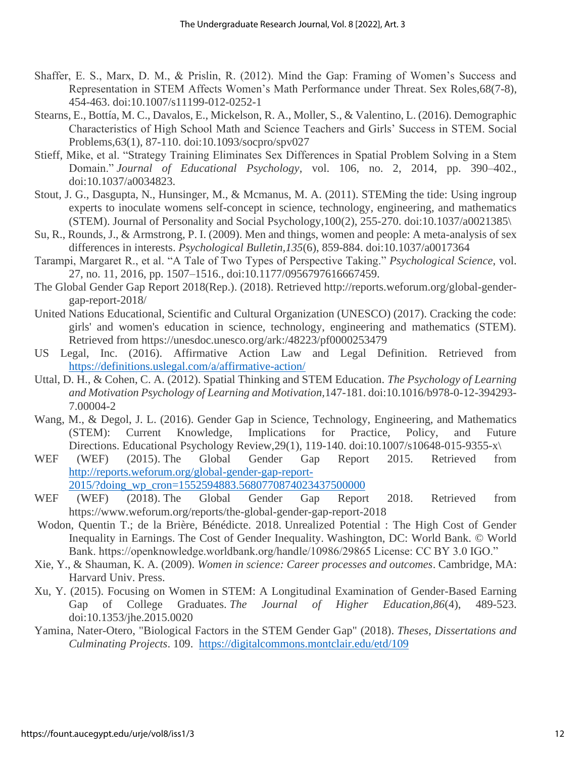- Shaffer, E. S., Marx, D. M., & Prislin, R. (2012). Mind the Gap: Framing of Women's Success and Representation in STEM Affects Women's Math Performance under Threat. Sex Roles,68(7-8), 454-463. doi:10.1007/s11199-012-0252-1
- Stearns, E., Bottía, M. C., Davalos, E., Mickelson, R. A., Moller, S., & Valentino, L. (2016). Demographic Characteristics of High School Math and Science Teachers and Girls' Success in STEM. Social Problems,63(1), 87-110. doi:10.1093/socpro/spv027
- Stieff, Mike, et al. "Strategy Training Eliminates Sex Differences in Spatial Problem Solving in a Stem Domain." *Journal of Educational Psychology*, vol. 106, no. 2, 2014, pp. 390–402., doi:10.1037/a0034823.
- Stout, J. G., Dasgupta, N., Hunsinger, M., & Mcmanus, M. A. (2011). STEMing the tide: Using ingroup experts to inoculate womens self-concept in science, technology, engineering, and mathematics (STEM). Journal of Personality and Social Psychology,100(2), 255-270. doi:10.1037/a0021385\
- Su, R., Rounds, J., & Armstrong, P. I. (2009). Men and things, women and people: A meta-analysis of sex differences in interests. *Psychological Bulletin,135*(6), 859-884. doi:10.1037/a0017364
- Tarampi, Margaret R., et al. "A Tale of Two Types of Perspective Taking." *Psychological Science*, vol. 27, no. 11, 2016, pp. 1507–1516., doi:10.1177/0956797616667459.
- The Global Gender Gap Report 2018(Rep.). (2018). Retrieved [http://reports.weforum.org/global-gender](http://reports.weforum.org/global-gender-gap-report-2018/)[gap-report-2018/](http://reports.weforum.org/global-gender-gap-report-2018/)
- United Nations Educational, Scientific and Cultural Organization (UNESCO) (2017). Cracking the code: girls' and women's education in science, technology, engineering and mathematics (STEM). Retrieved from<https://unesdoc.unesco.org/ark:/48223/pf0000253479>
- US Legal, Inc. (2016). Affirmative Action Law and Legal Definition. Retrieved from <https://definitions.uslegal.com/a/affirmative-action/>
- Uttal, D. H., & Cohen, C. A. (2012). Spatial Thinking and STEM Education. *The Psychology of Learning and Motivation Psychology of Learning and Motivation,*147-181. doi:10.1016/b978-0-12-394293- 7.00004-2
- Wang, M., & Degol, J. L. (2016). Gender Gap in Science, Technology, Engineering, and Mathematics (STEM): Current Knowledge, Implications for Practice, Policy, and Future Directions. Educational Psychology Review,29(1), 119-140. doi:10.1007/s10648-015-9355-x\
- WEF (WEF) (2015). The Global Gender Gap Report 2015. Retrieved from [http://reports.weforum.org/global-gender-gap-report-](http://reports.weforum.org/global-gender-gap-report-2015/?doing_wp_cron=1552594883.5680770874023437500000)[2015/?doing\\_wp\\_cron=1552594883.5680770874023437500000](http://reports.weforum.org/global-gender-gap-report-2015/?doing_wp_cron=1552594883.5680770874023437500000)
- WEF (WEF) (2018). The Global Gender Gap Report 2018. Retrieved from <https://www.weforum.org/reports/the-global-gender-gap-report-2018>
- Wodon, Quentin T.; de la Brière, Bénédicte. 2018. Unrealized Potential : The High Cost of Gender Inequality in Earnings. The Cost of Gender Inequality. Washington, DC: World Bank. © World Bank. https://openknowledge.worldbank.org/handle/10986/29865 License: CC BY 3.0 IGO."
- Xie, Y., & Shauman, K. A. (2009). *Women in science: Career processes and outcomes*. Cambridge, MA: Harvard Univ. Press.
- Xu, Y. (2015). Focusing on Women in STEM: A Longitudinal Examination of Gender-Based Earning Gap of College Graduates. *The Journal of Higher Education,86*(4), 489-523. doi:10.1353/jhe.2015.0020
- Yamina, Nater-Otero, "Biological Factors in the STEM Gender Gap" (2018). *Theses, Dissertations and Culminating Projects*. 109. <https://digitalcommons.montclair.edu/etd/109>